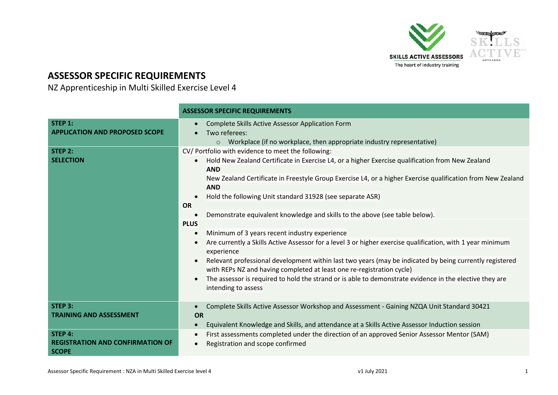

## **ASSESSOR SPECIFIC REQUIREMENTS**

NZ Apprenticeship in Multi Skilled Exercise Level 4

|                                                                                                 | <b>ASSESSOR SPECIFIC REQUIREMENTS</b>                                                                                                                                                                                                                                                                                                                                                                                                                                                                          |
|-------------------------------------------------------------------------------------------------|----------------------------------------------------------------------------------------------------------------------------------------------------------------------------------------------------------------------------------------------------------------------------------------------------------------------------------------------------------------------------------------------------------------------------------------------------------------------------------------------------------------|
| STEP 1:<br><b>APPLICATION AND PROPOSED SCOPE</b>                                                | Complete Skills Active Assessor Application Form<br>Two referees:<br>$\circ$ Workplace (if no workplace, then appropriate industry representative)                                                                                                                                                                                                                                                                                                                                                             |
| STEP 2:<br><b>SELECTION</b>                                                                     | CV/ Portfolio with evidence to meet the following:<br>Hold New Zealand Certificate in Exercise L4, or a higher Exercise qualification from New Zealand<br><b>AND</b><br>New Zealand Certificate in Freestyle Group Exercise L4, or a higher Exercise qualification from New Zealand<br><b>AND</b><br>Hold the following Unit standard 31928 (see separate ASR)<br><b>OR</b><br>Demonstrate equivalent knowledge and skills to the above (see table below).                                                     |
|                                                                                                 | <b>PLUS</b><br>Minimum of 3 years recent industry experience<br>Are currently a Skills Active Assessor for a level 3 or higher exercise qualification, with 1 year minimum<br>experience<br>Relevant professional development within last two years (may be indicated by being currently registered<br>with REPs NZ and having completed at least one re-registration cycle)<br>The assessor is required to hold the strand or is able to demonstrate evidence in the elective they are<br>intending to assess |
| STEP 3:<br><b>TRAINING AND ASSESSMENT</b><br>STEP 4:<br><b>REGISTRATION AND CONFIRMATION OF</b> | Complete Skills Active Assessor Workshop and Assessment - Gaining NZQA Unit Standard 30421<br>$\bullet$<br><b>OR</b><br>Equivalent Knowledge and Skills, and attendance at a Skills Active Assessor Induction session<br>$\bullet$<br>First assessments completed under the direction of an approved Senior Assessor Mentor (SAM)<br>Registration and scope confirmed                                                                                                                                          |
| <b>SCOPE</b>                                                                                    |                                                                                                                                                                                                                                                                                                                                                                                                                                                                                                                |